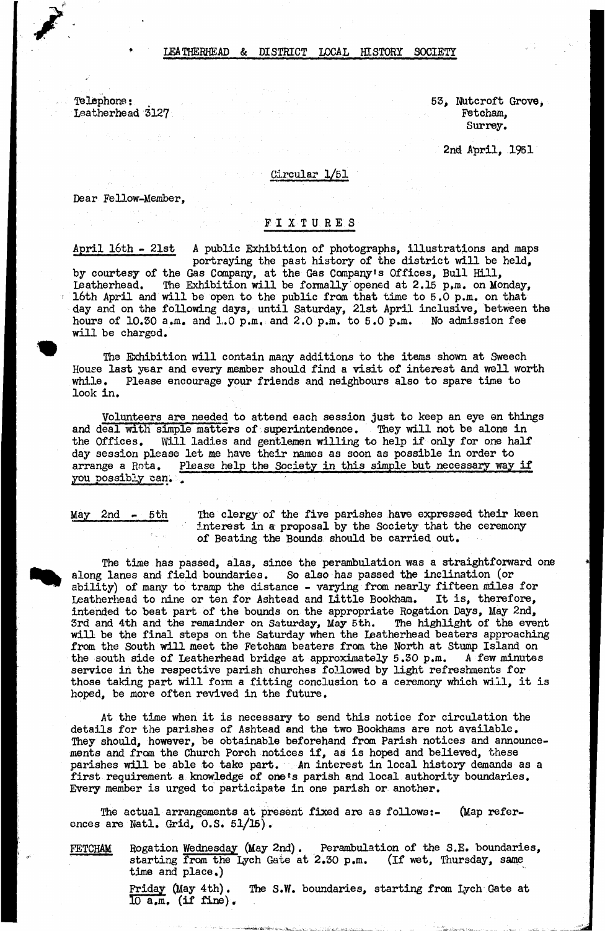## LEATHERHEAD & DISTRICT LOCAL HISTORY SOCIETY

Telephone • Leatherhead 3127 53, NUtcroft Grove, Fetcham, Surrey.

2nd April, 1951

Circular 1/51

Dear Fellow-Member,

## **FIXTURES**

April 16th - 21st A public Exhibition of photographs, illustrations and maps portraying the past history of the district will be held, by courtesy of the Gas Company, at the Gas Company's Offices, Bull Hill, Leatherhead. The Exhibition will be formally opened at 2.15 p.m. on Monday, 16th April and will be open to the public from, that time to 5.0 p.m. on that day and on the following days, until Saturday, 21st April inclusive, between the hours of  $10.50$  a.m. and  $1.0$  p.m. and  $2.0$  p.m. to  $5.0$  p.m. No admission fee will be charged.

The Exhibition will contain many additions to the items shown at Sweech House last year and every member should find a visit of interest and well worth while. Please encourage your friends and neighbours also to spare time to look in.

Volunteers are needed to attend each session just to keep an eye en things and deal with simple matters of superintendence. They will not be alone in the Offices. Will ladies and gentlemen willing to help if only for one half Will ladies and gentlemen willing to help if only for one half day session please let me have their names as soon as possible in order to arrange a Rota. Please help the Society in this simple but necessary way Please help the Society in this simple but necessary way if you possibly can.

May 2nd - 5th The clergy of the five parishes have expressed their keen interest in a proposal by the Society that the ceremony of Beating the Bounds should be carried out.

The time has passed, alas, since the perambulation was a straightforward one along lanes and field boundaries. So also has passed the inclination (or ability) of many to tramp the distance - varying from nearly fifteen miles for Leatherhead to nine or ten for Ashtead and Little Bookham. It is, therefore, intended to beat part of the bounds on the appropriate Rogation Days, May 2nd, 3rd and 4th and the remainder on Saturday, May 5th. The highlight of the event will be the final steps on the Saturday when the Leatherhead beaters approaching from the South will meet the Fetcham beaters from the North at Stump Island on the south side of Leatherhead bridge at approximately 5.30 p.m. A few minutes service in the respective parish churches followed by light refreshments for those taking part will form a fitting conclusion to a ceremony which will, it is hoped, be more often revived in the future.

At the time when it is necessary to send this notice for circulation the details for the parishes of Ashtead and the two Bookhams are not available. They should, however, be obtainable beforehand from Parish notices and announcements and from the Church Porch notices if, as is hoped and believed, these parishes will be able to take part. An interest in local history demands as a first requirement a knowledge of one's parish and local authority boundaries. Every member is urged to participate in one parish or another.

The actual arrangements at present fixed are as follows:- (Map references are Natl. Grid, 0.S. 51/15).

FETCHAM Rogation Wednesday (May 2nd). Perambulation of the S.E. boundaries, starting from the lych Gate at 2.30 p.m. (If wet, Thursday, same time and place.)

> Friday (May 4th). The S.W. boundaries, starting from lych Gate at  $10 a.m.$  (if fine).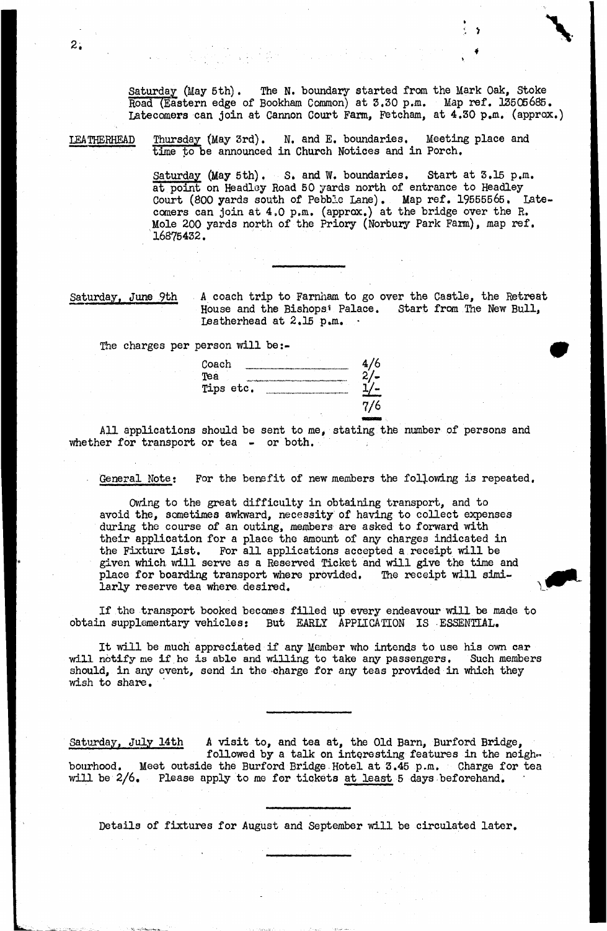Saturday (May 5th), The N. boundary started from the Mark Oak, Stoke Road (Eastern edge of Bookham Common) at 3.30 p.m. Map ref. 13505685. Latecomers can join at Cannon Court Farm, Fetcham, at 4.30 p.m. (approx.)

LEATHERHEAD Thursday (May 3rd). N. and E. boundaries. Meeting place and time to be announced in Church Notices and in Porch,

> Saturday (May 5th). S. and W. boundaries. Start at 3.15 p.m. at point on Headley Road 50 yards north of entrance to Headley Court (800 yards south of Pebble Lane). Map ref. 19555565, Latecomers can join at 4,0 p.m. (approx.) at the bridge over the R. Mole 200 yards north of the Priory (Norbury Park Farm), map ref. 16875432.

Saturday, June 9th A coach trip to Farnham to go over the Castle, the Retreat House and the Bishops<sup>1</sup> Palace. Start from The New Bull, Leatherhead at  $2.15$  p.m.

The charges per person will be:-

| Coach     |     |
|-----------|-----|
| Tea       |     |
| Tips etc. |     |
|           | 7/6 |

All applications should be sent to me, stating the number of persons and whether for transport or tea - or both.

General Note; For the benefit of new members the following is repeated.

Owing to the great difficulty in obtaining transport, and to avoid the, sometimes awkward, necessity of having to collect expenses during the course of an outing, members are asked to forward with their application for a place the amount of any charges indicated in the Fixture List. For all applications accepted a receipt will be given which will serve as a Reserved Ticket and will give the time and place for boarding transport where provided. The receipt will similarly reserve tea where desired.

If the transport booked becomes filled up every endeavour will be made to obtain supplementary vehicles: But EARLY APPHCATION IS ESSENTIAL.

It will be much appreciated if any Member who intends to use his own car will notify me if he is able and willing to take any passengers. Such members should, in any event, send in the charge for any teas provided in which they wish to share.

Saturday, July 14th A visit to, and tea at, the Old Barn, Burford Bridge, followed by a talk on interesting features in the neighbourhood. Meet outside the Burford Bridge.Hotel at 3.45 p.m. Charge for tea will be 2/6. Please apply to me for tickets at least 5 days beforehand.

Details of fixtures for August and September will be circulated later.